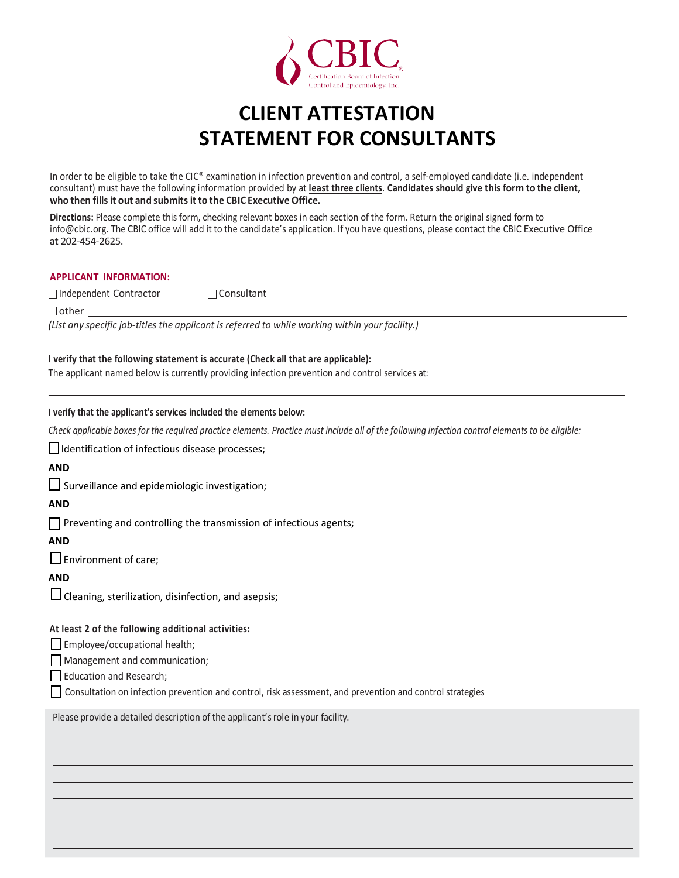

# **CLIENT ATTESTATION STATEMENT FOR CONSULTANTS**

In order to be eligible to take the CIC® examination in infection prevention and control, a self-employed candidate (i.e. independent consultant) must have the following information provided by at **least three clients**. **Candidates should give this form to the client, who then fills it out and submits it to the CBIC Executive Office.**

**Directions:** Please complete this form, checking relevant boxes in each section of the form. Return the original signed form to [info@cbic.org.](mailto:info@cbic.org) The CBIC office will add it to the candidate's application. If you have questions, please contact the CBIC Executive Office at 202-454-2625.

#### **APPLICANT INFORMATION:**

Independent Contractor Consultant

 $\Box$  other

*(List any specific job-titles the applicant is referred to while working within your facility.)*

#### **I verify that the following statement is accurate (Check all that are applicable):**

The applicant named below is currently providing infection prevention and control services at:

# **I verify that the applicant's services included the elements below:**

*Check applicable boxes for the required practice elements. Practice must include all of the following infection control elements to be eligible:* 

I Identification of infectious disease processes;

# **AND**

Surveillance and epidemiologic investigation;

### **AND**

 $\Box$  Preventing and controlling the transmission of infectious agents;

#### **AND**

 $\square$  Environment of care;

## **AND**

Cleaning, sterilization, disinfection, and asepsis;

### **At least 2 of the following additional activities:**

Employee/occupational health;

Management and communication;

Education and Research;

Consultation on infection prevention and control, risk assessment, and prevention and control strategies

CBIC-0419-130

Please provide a detailed description of the applicant's role in your facility.